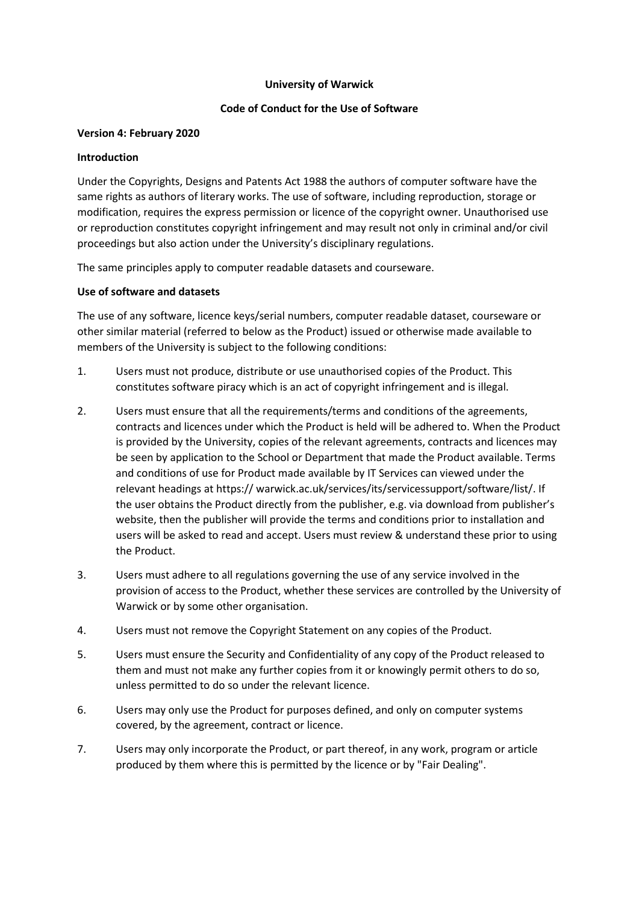### **University of Warwick**

# **Code of Conduct for the Use of Software**

### **Version 4: February 2020**

### **Introduction**

Under the Copyrights, Designs and Patents Act 1988 the authors of computer software have the same rights as authors of literary works. The use of software, including reproduction, storage or modification, requires the express permission or licence of the copyright owner. Unauthorised use or reproduction constitutes copyright infringement and may result not only in criminal and/or civil proceedings but also action under the University's disciplinary regulations.

The same principles apply to computer readable datasets and courseware.

# **Use of software and datasets**

The use of any software, licence keys/serial numbers, computer readable dataset, courseware or other similar material (referred to below as the Product) issued or otherwise made available to members of the University is subject to the following conditions:

- 1. Users must not produce, distribute or use unauthorised copies of the Product. This constitutes software piracy which is an act of copyright infringement and is illegal.
- 2. Users must ensure that all the requirements/terms and conditions of the agreements, contracts and licences under which the Product is held will be adhered to. When the Product is provided by the University, copies of the relevant agreements, contracts and licences may be seen by application to the School or Department that made the Product available. Terms and conditions of use for Product made available by IT Services can viewed under the relevant headings at https:// warwick.ac.uk/services/its/servicessupport/software/list/. If the user obtains the Product directly from the publisher, e.g. via download from publisher's website, then the publisher will provide the terms and conditions prior to installation and users will be asked to read and accept. Users must review & understand these prior to using the Product.
- 3. Users must adhere to all regulations governing the use of any service involved in the provision of access to the Product, whether these services are controlled by the University of Warwick or by some other organisation.
- 4. Users must not remove the Copyright Statement on any copies of the Product.
- 5. Users must ensure the Security and Confidentiality of any copy of the Product released to them and must not make any further copies from it or knowingly permit others to do so, unless permitted to do so under the relevant licence.
- 6. Users may only use the Product for purposes defined, and only on computer systems covered, by the agreement, contract or licence.
- 7. Users may only incorporate the Product, or part thereof, in any work, program or article produced by them where this is permitted by the licence or by "Fair Dealing".